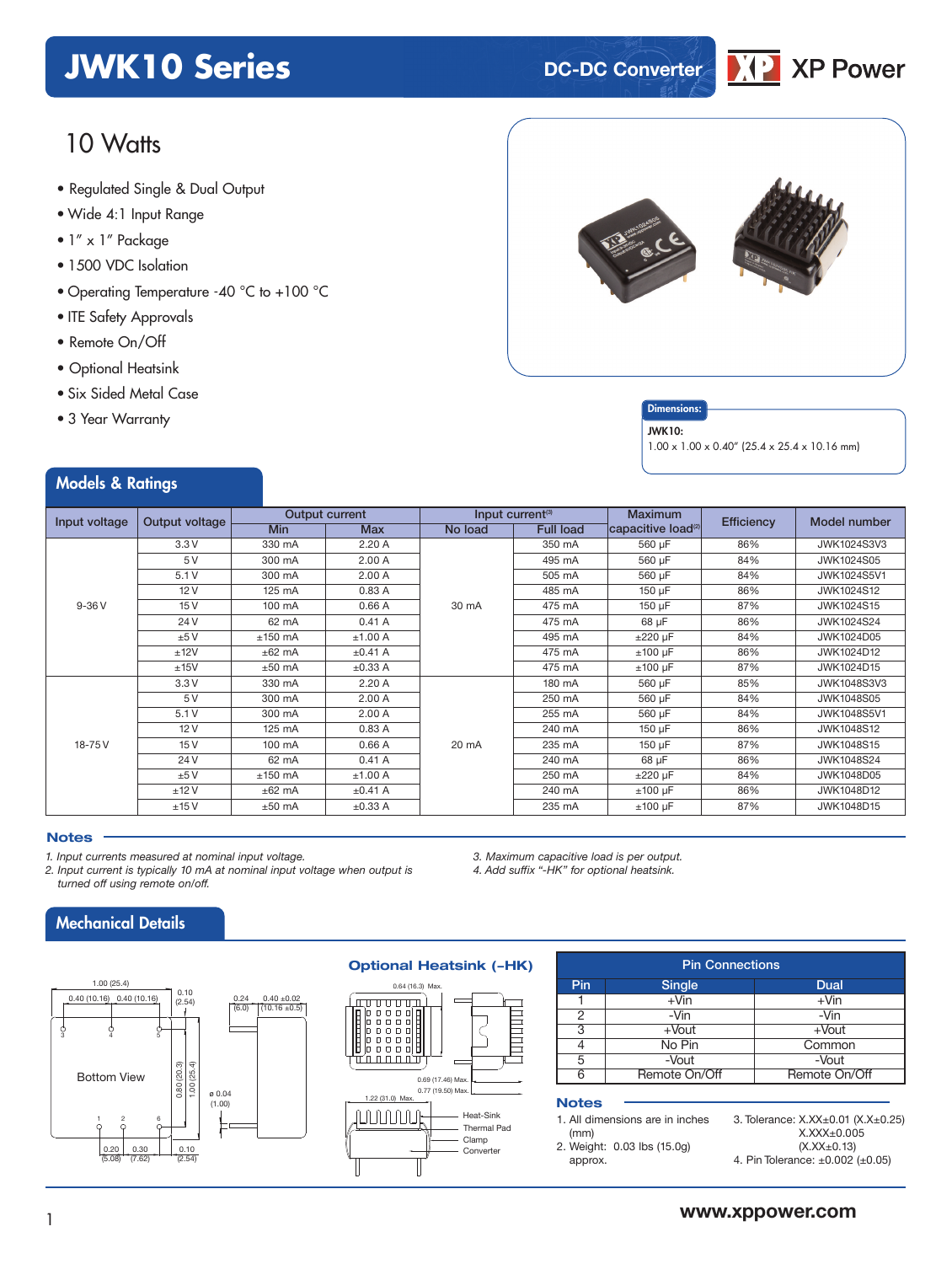## **JWK10 Series DC-DC** Converter

## 10 Watts

- **xxx Series** Regulated Single & Dual Output
- Wide 4:1 Input Range
- 1" x 1" Package
- 1500 VDC Isolation
- Operating Temperature -40 °C to +100 °C
- ITE Safety Approvals
- Remote On/Off
- Optional Heatsink
- Six Sided Metal Case
- 3 Year Warranty

Models & Ratings

#### **Dimensions**

#### JWK10:

1.00 x 1.00 x 0.40" (25.4 x 25.4 x 10.16 mm)

**XP Power** 

| Input voltage | Output voltage |            | <b>Output current</b> |         | Input current <sup>(3)</sup> | <b>Maximum</b>                 | <b>Efficiency</b> | Model number       |
|---------------|----------------|------------|-----------------------|---------|------------------------------|--------------------------------|-------------------|--------------------|
|               |                | <b>Min</b> | <b>Max</b>            | No load | <b>Full load</b>             | capacitive load <sup>(2)</sup> |                   |                    |
|               | 3.3V           | 330 mA     | 2.20 A                |         | 350 mA                       | 560 µF                         | 86%               | <b>JWK1024S3V3</b> |
|               | 5V             | 300 mA     | 2.00A                 |         | 495 mA                       | 560 µF                         | 84%               | JWK1024S05         |
|               | 5.1V           | 300 mA     | 2.00A                 |         | 505 mA                       | 560 µF                         | 84%               | <b>JWK1024S5V1</b> |
|               | 12V            | 125 mA     | 0.83A                 |         | 485 mA                       | $150 \mu F$                    | 86%               | <b>JWK1024S12</b>  |
| $9-36V$       | 15V            | 100 mA     | 0.66A                 | 30 mA   | 475 mA                       | 150 µF                         | 87%               | JWK1024S15         |
|               | 24 V           | 62 mA      | 0.41A                 |         | 475 mA                       | 68 µF                          | 86%               | JWK1024S24         |
|               | ±5V            | $±150$ mA  | ±1.00 A               |         | 495 mA                       | $±220 \mu F$                   | 84%               | JWK1024D05         |
|               | ±12V           | $±62$ mA   | $\pm 0.41$ A          |         | 475 mA                       | $±100 \mu F$                   | 86%               | JWK1024D12         |
|               | ±15V           | $±50$ mA   | $\pm 0.33$ A          |         | 475 mA                       | $±100 \mu F$                   | 87%               | JWK1024D15         |
|               | 3.3V           | 330 mA     | 2.20A                 |         | 180 mA                       | 560 µF                         | 85%               | <b>JWK1048S3V3</b> |
|               | 5V             | 300 mA     | 2.00A                 |         | 250 mA                       | 560 µF                         | 84%               | <b>JWK1048S05</b>  |
|               | 5.1V           | 300 mA     | 2.00A                 |         | 255 mA                       | 560 µF                         | 84%               | <b>JWK1048S5V1</b> |
|               | 12V            | 125 mA     | 0.83A                 |         | 240 mA                       | 150 µF                         | 86%               | <b>JWK1048S12</b>  |
| 18-75V        | 15V            | 100 mA     | 0.66A                 | 20 mA   | 235 mA                       | 150 µF                         | 87%               | <b>JWK1048S15</b>  |
|               | 24 V           | 62 mA      | 0.41A                 |         | 240 mA                       | 68 µF                          | 86%               | JWK1048S24         |
|               | ±5V            | $±150$ mA  | ±1.00 A               |         | 250 mA                       | $±220 \mu F$                   | 84%               | JWK1048D05         |
|               | ±12V           | $±62$ mA   | $\pm 0.41$ A          |         | 240 mA                       | $±100 \mu F$                   | 86%               | JWK1048D12         |
|               | ±15V           | $±50$ mA   | $\pm 0.33$ A          |         | 235 mA                       | $±100 \mu F$                   | 87%               | JWK1048D15         |

#### **Notes**

*1. Input currents measured at nominal input voltage.*

- *2. Input current is typically 10 mA at nominal input voltage when output is turned off using remote on/off.*
	- Mechanical Details



#### **Optional Heatsink (-HK)**



#### Pin Connections Pin Single Dual<br>1 + Vin + Vin + Vin  $1 + \sqrt{1}$ 2 | -Vin | -Vin 3 +Vout +Vout<br>4 No Pin Commo Common 5 | -Vout | -Vout 6 Remote On/Off Remote On/Off

#### **Notes**

*3. Maximum capacitive load is per output. 4. Add suffix "-HK" for optional heatsink.*

|            | 1. All dimensions are in inches |  |  |
|------------|---------------------------------|--|--|
| $\sqrt{2}$ |                                 |  |  |

- (mm)
- 2. Weight: 0.03 lbs (15.0g) approx.

3. Tolerance: X.XX±0.01 (X.X±0.25) X.XXX±0.005 (X.XX±0.13)

4. Pin Tolerance: ±0.002 (±0.05)

## <sup>1</sup> **www.xppower.com**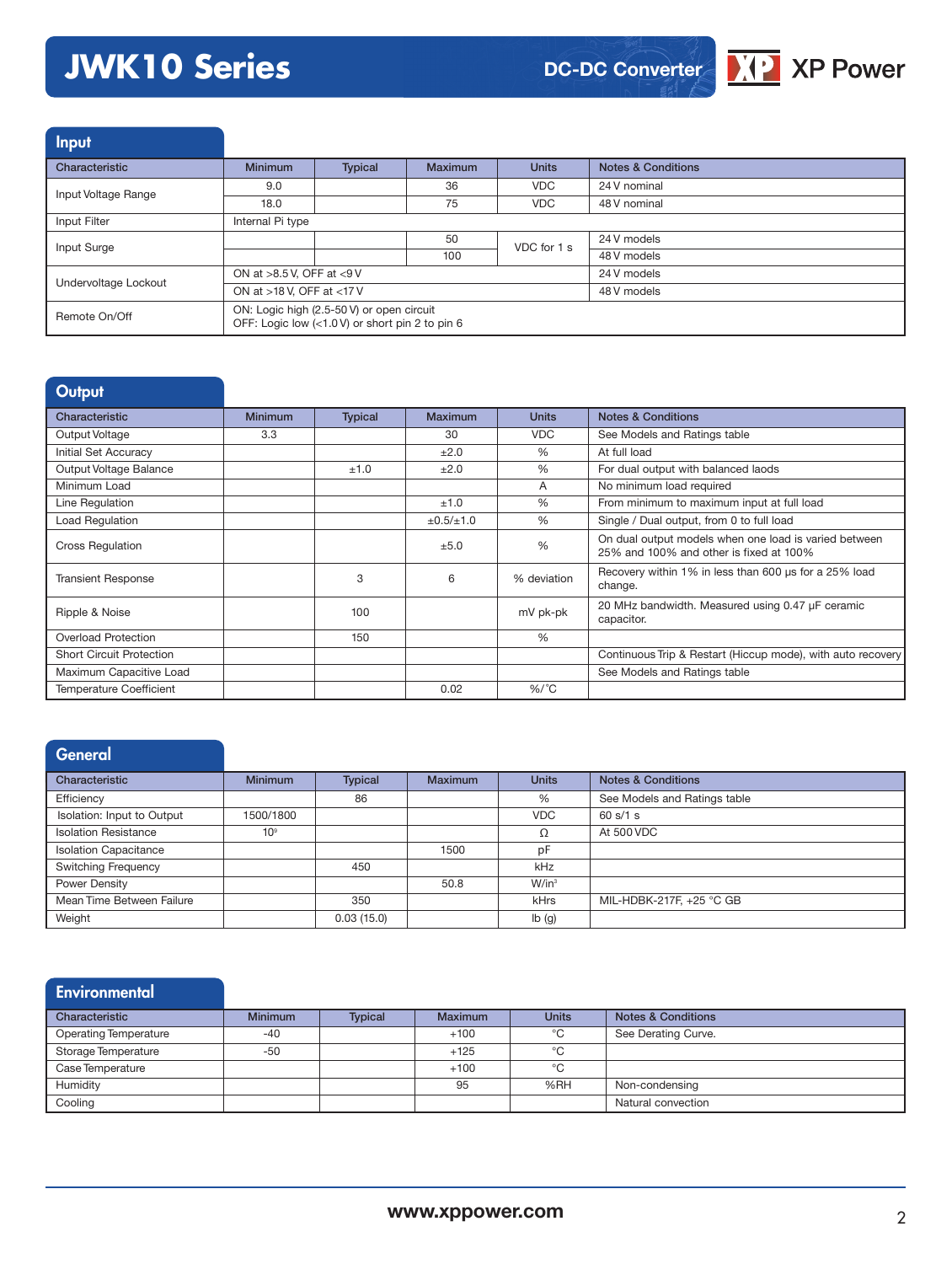# **JWK10 Series**



| <b>Input</b>         |                                                                                              |                |         |              |                               |  |  |
|----------------------|----------------------------------------------------------------------------------------------|----------------|---------|--------------|-------------------------------|--|--|
| Characteristic       | <b>Minimum</b>                                                                               | <b>Typical</b> | Maximum | <b>Units</b> | <b>Notes &amp; Conditions</b> |  |  |
| Input Voltage Range  | 9.0                                                                                          |                | 36      | <b>VDC</b>   | 24 V nominal                  |  |  |
|                      | 18.0                                                                                         |                | 75      | <b>VDC</b>   | 48 V nominal                  |  |  |
| Input Filter         | Internal Pi type                                                                             |                |         |              |                               |  |  |
| Input Surge          |                                                                                              |                | 50      | VDC for 1 s  | 24 V models                   |  |  |
|                      |                                                                                              |                | 100     |              | 48 V models                   |  |  |
| Undervoltage Lockout | ON at >8.5 V, OFF at <9 V                                                                    |                |         | 24 V models  |                               |  |  |
|                      | ON at >18 V, OFF at <17 V                                                                    |                |         | 48 V models  |                               |  |  |
| Remote On/Off        | ON: Logic high (2.5-50 V) or open circuit<br>OFF: Logic low (<1.0 V) or short pin 2 to pin 6 |                |         |              |                               |  |  |

| Output                          |                |                |                     |                |                                                                                                  |
|---------------------------------|----------------|----------------|---------------------|----------------|--------------------------------------------------------------------------------------------------|
| Characteristic                  | <b>Minimum</b> | <b>Typical</b> | Maximum             | <b>Units</b>   | <b>Notes &amp; Conditions</b>                                                                    |
| Output Voltage                  | 3.3            |                | 30                  | <b>VDC</b>     | See Models and Ratings table                                                                     |
| Initial Set Accuracy            |                |                | ±2.0                | $\frac{0}{0}$  | At full load                                                                                     |
| Output Voltage Balance          |                | ±1.0           | ±2.0                | %              | For dual output with balanced laods                                                              |
| Minimum Load                    |                |                |                     | $\overline{A}$ | No minimum load required                                                                         |
| Line Regulation                 |                |                | ±1.0                | $\frac{0}{0}$  | From minimum to maximum input at full load                                                       |
| Load Regulation                 |                |                | $\pm 0.5 / \pm 1.0$ | $\frac{0}{6}$  | Single / Dual output, from 0 to full load                                                        |
| <b>Cross Regulation</b>         |                |                | ±5.0                | $\frac{0}{0}$  | On dual output models when one load is varied between<br>25% and 100% and other is fixed at 100% |
| <b>Transient Response</b>       |                | 3              | 6                   | % deviation    | Recovery within 1% in less than 600 us for a 25% load<br>change.                                 |
| Ripple & Noise                  |                | 100            |                     | mV pk-pk       | 20 MHz bandwidth. Measured using 0.47 µF ceramic<br>capacitor.                                   |
| <b>Overload Protection</b>      |                | 150            |                     | %              |                                                                                                  |
| <b>Short Circuit Protection</b> |                |                |                     |                | Continuous Trip & Restart (Hiccup mode), with auto recovery                                      |
| Maximum Capacitive Load         |                |                |                     |                | See Models and Ratings table                                                                     |
| <b>Temperature Coefficient</b>  |                |                | 0.02                | $%$ /°C        |                                                                                                  |

## **General**

| Characteristic               | <b>Minimum</b>  | <b>Typical</b> | <b>Maximum</b> | <b>Units</b>      | <b>Notes &amp; Conditions</b> |
|------------------------------|-----------------|----------------|----------------|-------------------|-------------------------------|
| Efficiency                   |                 | 86             |                | %                 | See Models and Ratings table  |
| Isolation: Input to Output   | 1500/1800       |                |                | <b>VDC</b>        | 60 s/1 s                      |
| <b>Isolation Resistance</b>  | 10 <sup>9</sup> |                |                | Ω                 | At 500 VDC                    |
| <b>Isolation Capacitance</b> |                 |                | 1500           | pF                |                               |
| <b>Switching Frequency</b>   |                 | 450            |                | kHz               |                               |
| Power Density                |                 |                | 50.8           | W/in <sup>3</sup> |                               |
| Mean Time Between Failure    |                 | 350            |                | kHrs              | MIL-HDBK-217F, +25 °C GB      |
| Weight                       |                 | 0.03(15.0)     |                | Ib(g)             |                               |

## **Environmental**

| Characteristic        | <b>Minimum</b> | <b>Typical</b> | <b>Maximum</b> | <b>Units</b> | <b>Notes &amp; Conditions</b> |
|-----------------------|----------------|----------------|----------------|--------------|-------------------------------|
| Operating Temperature | $-40$          |                | $+100$         | °C           | See Derating Curve.           |
| Storage Temperature   | $-50$          |                | $+125$         | °C           |                               |
| Case Temperature      |                |                | $+100$         | °C           |                               |
| Humidity              |                |                | 95             | %RH          | Non-condensing                |
| Cooling               |                |                |                |              | Natural convection            |